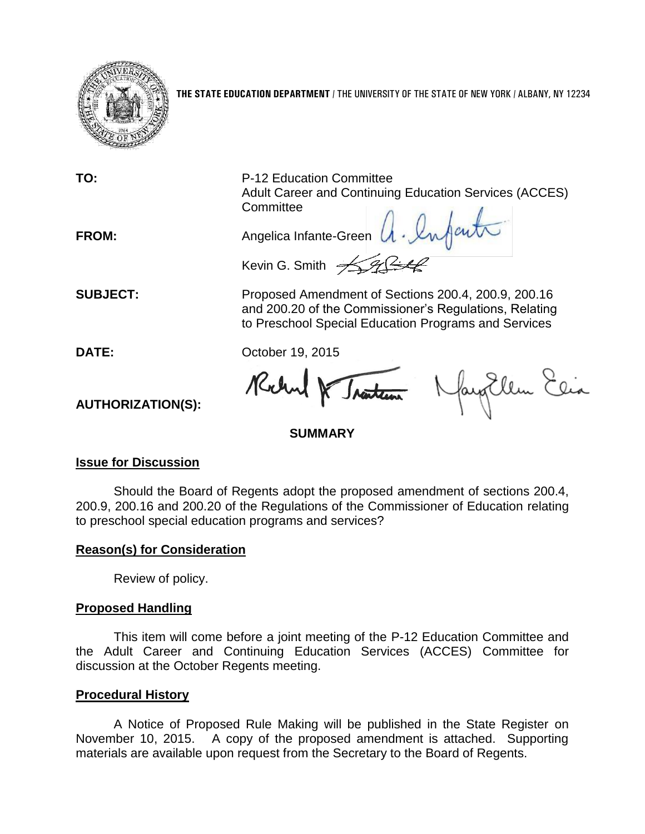

**THE STATE EDUCATION DEPARTMENT** / THE UNIVERSITY OF THE STATE OF NEW YORK / ALBANY, NY 12234

**TO:** P-12 Education Committee Adult Career and Continuing Education Services (ACCES) **Committee** 

FROM: Angelica Infante-Green A. Infant Kevin G. Smith  $\sqrt{2\sqrt{2}}$ 

**SUBJECT:** Proposed Amendment of Sections 200.4, 200.9, 200.16 and 200.20 of the Commissioner's Regulations, Relating to Preschool Special Education Programs and Services

**DATE:** October 19, 2015

Robert & Traiteau Nayollem Elia

# **SUMMARY**

## **Issue for Discussion**

**AUTHORIZATION(S):**

Should the Board of Regents adopt the proposed amendment of sections 200.4, 200.9, 200.16 and 200.20 of the Regulations of the Commissioner of Education relating to preschool special education programs and services?

## **Reason(s) for Consideration**

Review of policy.

## **Proposed Handling**

This item will come before a joint meeting of the P-12 Education Committee and the Adult Career and Continuing Education Services (ACCES) Committee for discussion at the October Regents meeting.

## **Procedural History**

A Notice of Proposed Rule Making will be published in the State Register on November 10, 2015. A copy of the proposed amendment is attached. Supporting materials are available upon request from the Secretary to the Board of Regents.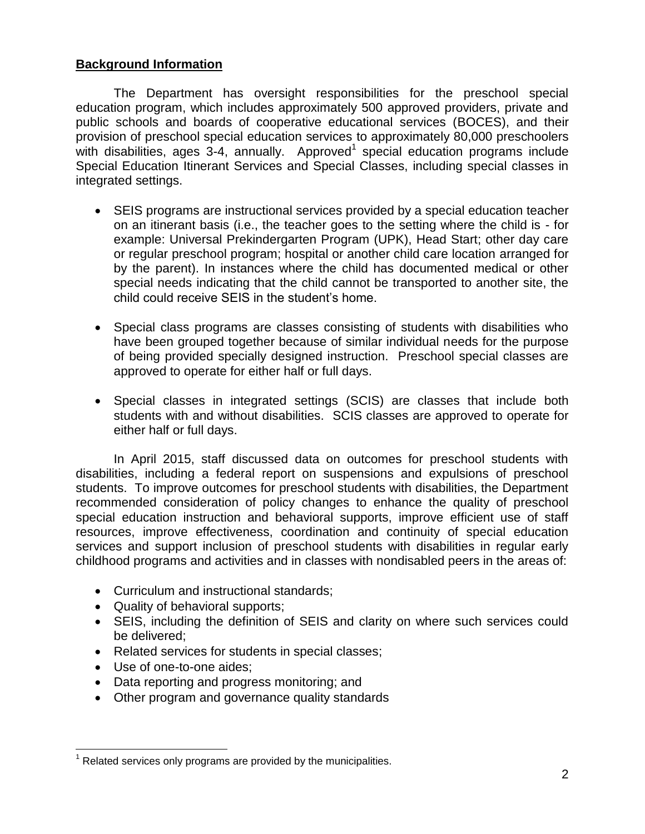#### **Background Information**

The Department has oversight responsibilities for the preschool special education program, which includes approximately 500 approved providers, private and public schools and boards of cooperative educational services (BOCES), and their provision of preschool special education services to approximately 80,000 preschoolers with disabilities, ages 3-4, annually. Approved<sup>1</sup> special education programs include Special Education Itinerant Services and Special Classes, including special classes in integrated settings.

- SEIS programs are instructional services provided by a special education teacher on an itinerant basis (i.e., the teacher goes to the setting where the child is - for example: Universal Prekindergarten Program (UPK), Head Start; other day care or regular preschool program; hospital or another child care location arranged for by the parent). In instances where the child has documented medical or other special needs indicating that the child cannot be transported to another site, the child could receive SEIS in the student's home.
- Special class programs are classes consisting of students with disabilities who have been grouped together because of similar individual needs for the purpose of being provided specially designed instruction. Preschool special classes are approved to operate for either half or full days.
- Special classes in integrated settings (SCIS) are classes that include both students with and without disabilities. SCIS classes are approved to operate for either half or full days.

In April 2015, staff discussed data on outcomes for preschool students with disabilities, including a federal report on suspensions and expulsions of preschool students. To improve outcomes for preschool students with disabilities, the Department recommended consideration of policy changes to enhance the quality of preschool special education instruction and behavioral supports, improve efficient use of staff resources, improve effectiveness, coordination and continuity of special education services and support inclusion of preschool students with disabilities in regular early childhood programs and activities and in classes with nondisabled peers in the areas of:

- Curriculum and instructional standards;
- Quality of behavioral supports;
- SEIS, including the definition of SEIS and clarity on where such services could be delivered;
- Related services for students in special classes;
- Use of one-to-one aides;
- Data reporting and progress monitoring; and
- Other program and governance quality standards

 $\overline{a}$  $1$  Related services only programs are provided by the municipalities.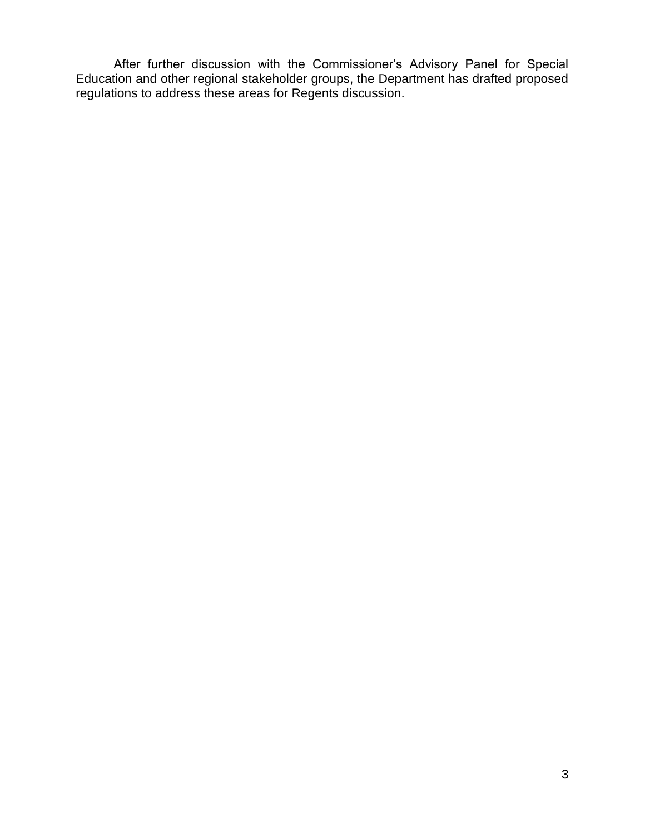After further discussion with the Commissioner's Advisory Panel for Special Education and other regional stakeholder groups, the Department has drafted proposed regulations to address these areas for Regents discussion.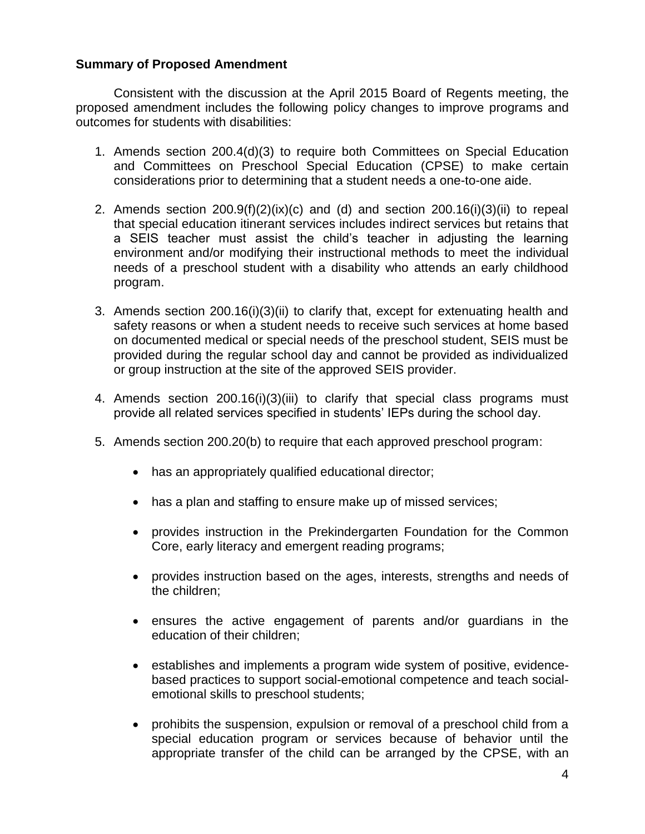#### **Summary of Proposed Amendment**

Consistent with the discussion at the April 2015 Board of Regents meeting, the proposed amendment includes the following policy changes to improve programs and outcomes for students with disabilities:

- 1. Amends section 200.4(d)(3) to require both Committees on Special Education and Committees on Preschool Special Education (CPSE) to make certain considerations prior to determining that a student needs a one-to-one aide.
- 2. Amends section  $200.9(f)(2)(ix)(c)$  and (d) and section  $200.16(i)(3)(ii)$  to repeal that special education itinerant services includes indirect services but retains that a SEIS teacher must assist the child's teacher in adjusting the learning environment and/or modifying their instructional methods to meet the individual needs of a preschool student with a disability who attends an early childhood program.
- 3. Amends section 200.16(i)(3)(ii) to clarify that, except for extenuating health and safety reasons or when a student needs to receive such services at home based on documented medical or special needs of the preschool student, SEIS must be provided during the regular school day and cannot be provided as individualized or group instruction at the site of the approved SEIS provider.
- 4. Amends section 200.16(i)(3)(iii) to clarify that special class programs must provide all related services specified in students' IEPs during the school day.
- 5. Amends section 200.20(b) to require that each approved preschool program:
	- has an appropriately qualified educational director;
	- has a plan and staffing to ensure make up of missed services;
	- provides instruction in the Prekindergarten Foundation for the Common Core, early literacy and emergent reading programs;
	- provides instruction based on the ages, interests, strengths and needs of the children;
	- ensures the active engagement of parents and/or guardians in the education of their children;
	- establishes and implements a program wide system of positive, evidencebased practices to support social-emotional competence and teach socialemotional skills to preschool students;
	- prohibits the suspension, expulsion or removal of a preschool child from a special education program or services because of behavior until the appropriate transfer of the child can be arranged by the CPSE, with an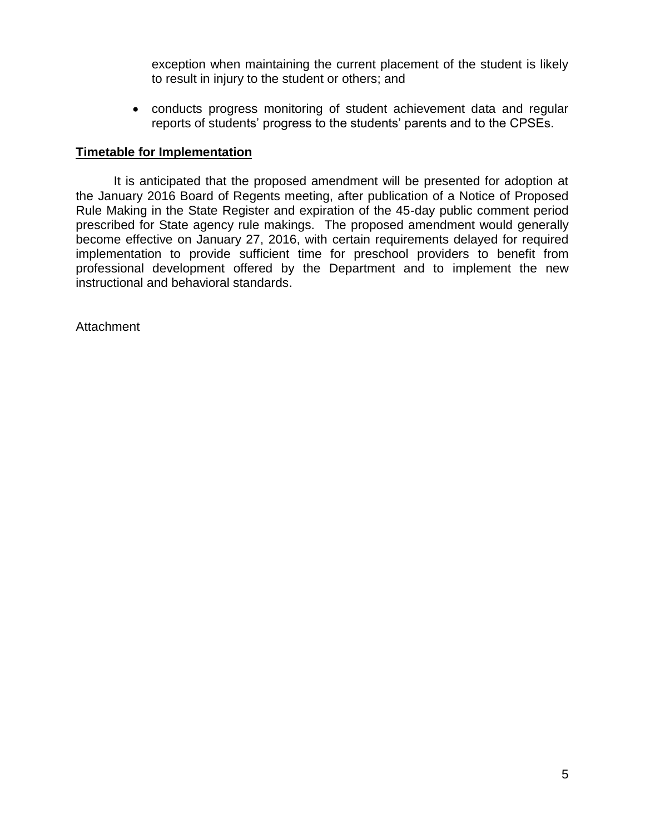exception when maintaining the current placement of the student is likely to result in injury to the student or others; and

 conducts progress monitoring of student achievement data and regular reports of students' progress to the students' parents and to the CPSEs.

#### **Timetable for Implementation**

It is anticipated that the proposed amendment will be presented for adoption at the January 2016 Board of Regents meeting, after publication of a Notice of Proposed Rule Making in the State Register and expiration of the 45-day public comment period prescribed for State agency rule makings. The proposed amendment would generally become effective on January 27, 2016, with certain requirements delayed for required implementation to provide sufficient time for preschool providers to benefit from professional development offered by the Department and to implement the new instructional and behavioral standards.

Attachment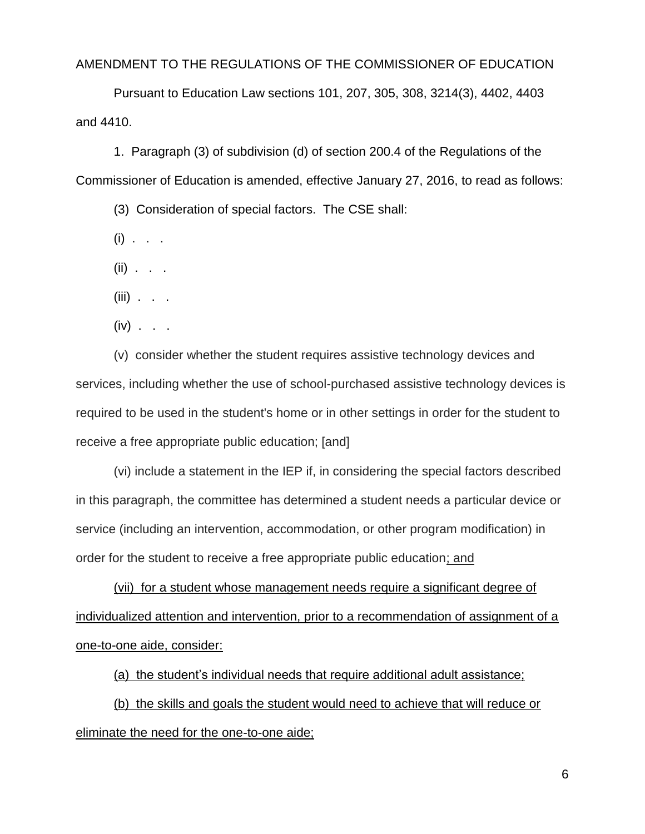#### AMENDMENT TO THE REGULATIONS OF THE COMMISSIONER OF EDUCATION

Pursuant to Education Law sections 101, 207, 305, 308, 3214(3), 4402, 4403 and 4410.

1. Paragraph (3) of subdivision (d) of section 200.4 of the Regulations of the Commissioner of Education is amended, effective January 27, 2016, to read as follows:

(3) Consideration of special factors. The CSE shall:

 $(i)$  . . .

(ii) . . .

 $(iii)$  . . .

 $(iv)$  . . .

(v) consider whether the student requires assistive technology devices and services, including whether the use of school-purchased assistive technology devices is required to be used in the student's home or in other settings in order for the student to receive a free appropriate public education; [and]

(vi) include a statement in the IEP if, in considering the special factors described in this paragraph, the committee has determined a student needs a particular device or service (including an intervention, accommodation, or other program modification) in order for the student to receive a free appropriate public education; and

(vii) for a student whose management needs require a significant degree of individualized attention and intervention, prior to a recommendation of assignment of a one-to-one aide, consider:

(a) the student's individual needs that require additional adult assistance;

(b) the skills and goals the student would need to achieve that will reduce or eliminate the need for the one-to-one aide;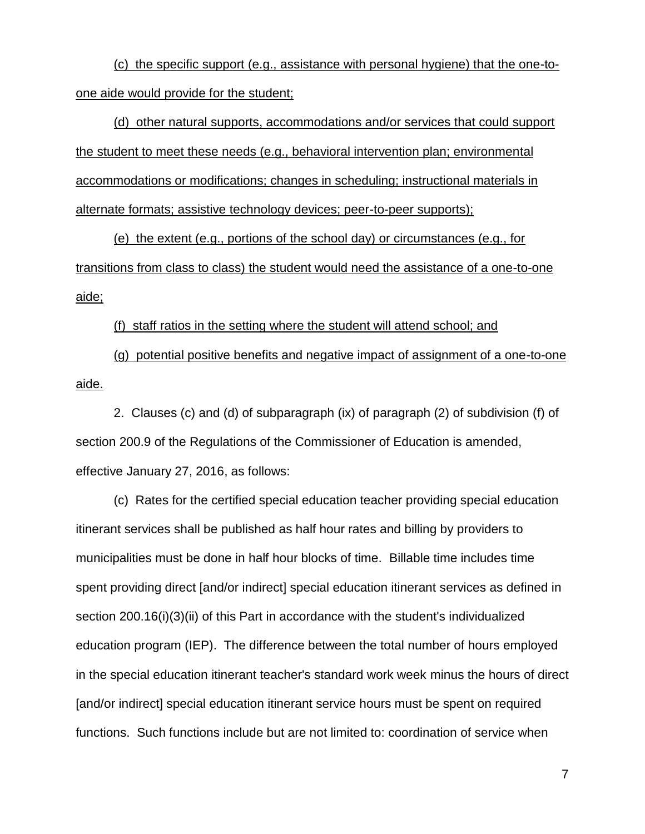(c) the specific support (e.g., assistance with personal hygiene) that the one-toone aide would provide for the student;

(d) other natural supports, accommodations and/or services that could support the student to meet these needs (e.g., behavioral intervention plan; environmental accommodations or modifications; changes in scheduling; instructional materials in alternate formats; assistive technology devices; peer-to-peer supports);

(e) the extent (e.g., portions of the school day) or circumstances (e.g., for transitions from class to class) the student would need the assistance of a one-to-one aide;

#### (f) staff ratios in the setting where the student will attend school; and

(g) potential positive benefits and negative impact of assignment of a one-to-one aide.

2. Clauses (c) and (d) of subparagraph (ix) of paragraph (2) of subdivision (f) of section 200.9 of the Regulations of the Commissioner of Education is amended, effective January 27, 2016, as follows:

(c) Rates for the certified special education teacher providing special education itinerant services shall be published as half hour rates and billing by providers to municipalities must be done in half hour blocks of time. Billable time includes time spent providing direct [and/or indirect] special education itinerant services as defined in section 200.16(i)(3)(ii) of this Part in accordance with the student's individualized education program (IEP). The difference between the total number of hours employed in the special education itinerant teacher's standard work week minus the hours of direct [and/or indirect] special education itinerant service hours must be spent on required functions. Such functions include but are not limited to: coordination of service when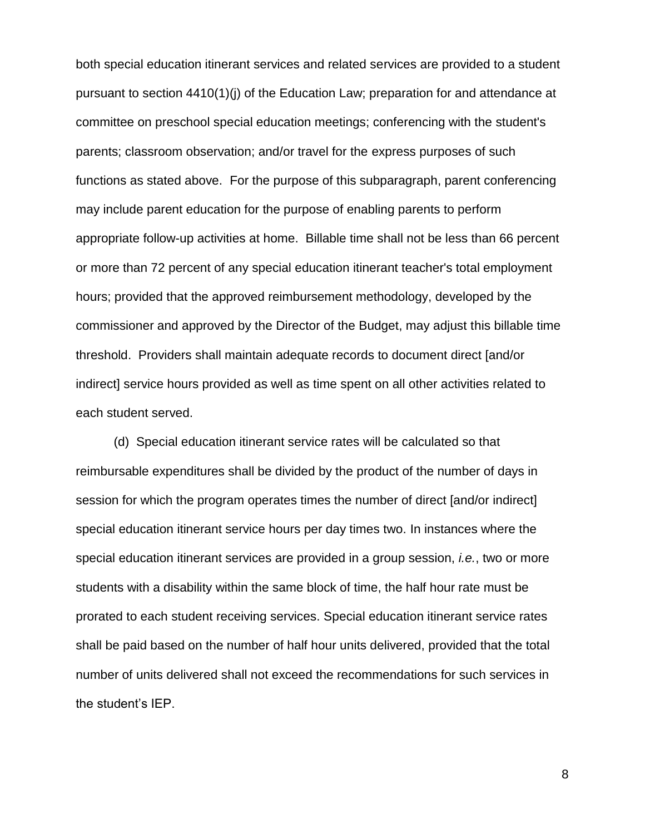both special education itinerant services and related services are provided to a student pursuant to section 4410(1)(j) of the Education Law; preparation for and attendance at committee on preschool special education meetings; conferencing with the student's parents; classroom observation; and/or travel for the express purposes of such functions as stated above. For the purpose of this subparagraph, parent conferencing may include parent education for the purpose of enabling parents to perform appropriate follow-up activities at home. Billable time shall not be less than 66 percent or more than 72 percent of any special education itinerant teacher's total employment hours; provided that the approved reimbursement methodology, developed by the commissioner and approved by the Director of the Budget, may adjust this billable time threshold. Providers shall maintain adequate records to document direct [and/or indirect] service hours provided as well as time spent on all other activities related to each student served.

(d) Special education itinerant service rates will be calculated so that reimbursable expenditures shall be divided by the product of the number of days in session for which the program operates times the number of direct [and/or indirect] special education itinerant service hours per day times two. In instances where the special education itinerant services are provided in a group session, *i.e.*, two or more students with a disability within the same block of time, the half hour rate must be prorated to each student receiving services. Special education itinerant service rates shall be paid based on the number of half hour units delivered, provided that the total number of units delivered shall not exceed the recommendations for such services in the student's IEP.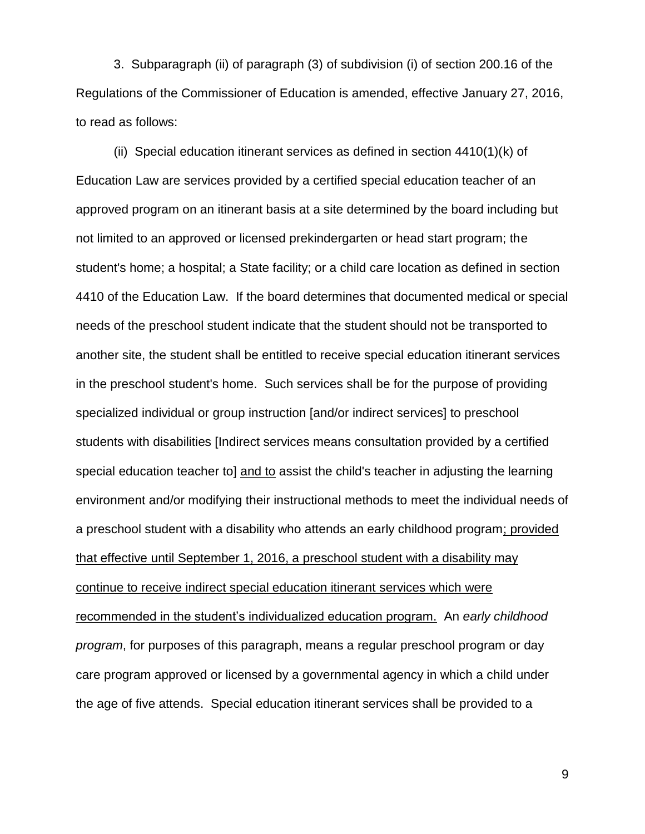3. Subparagraph (ii) of paragraph (3) of subdivision (i) of section 200.16 of the Regulations of the Commissioner of Education is amended, effective January 27, 2016, to read as follows:

(ii) Special education itinerant services as defined in section 4410(1)(k) of Education Law are services provided by a certified special education teacher of an approved program on an itinerant basis at a site determined by the board including but not limited to an approved or licensed prekindergarten or head start program; the student's home; a hospital; a State facility; or a child care location as defined in section 4410 of the Education Law. If the board determines that documented medical or special needs of the preschool student indicate that the student should not be transported to another site, the student shall be entitled to receive special education itinerant services in the preschool student's home. Such services shall be for the purpose of providing specialized individual or group instruction [and/or indirect services] to preschool students with disabilities [Indirect services means consultation provided by a certified special education teacher to] and to assist the child's teacher in adjusting the learning environment and/or modifying their instructional methods to meet the individual needs of a preschool student with a disability who attends an early childhood program; provided that effective until September 1, 2016, a preschool student with a disability may continue to receive indirect special education itinerant services which were recommended in the student's individualized education program. An *early childhood program*, for purposes of this paragraph, means a regular preschool program or day care program approved or licensed by a governmental agency in which a child under the age of five attends. Special education itinerant services shall be provided to a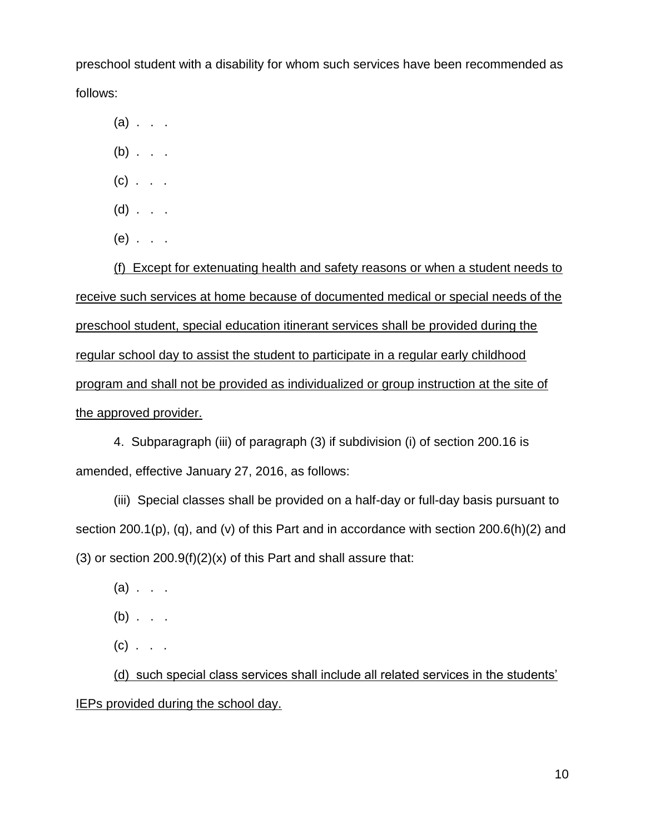preschool student with a disability for whom such services have been recommended as follows:

 $(a)$  . . .

- $(b)$  . . .
- $(c)$  . . .
- $(d)$  . . .
- $(e)$  . . .

(f) Except for extenuating health and safety reasons or when a student needs to receive such services at home because of documented medical or special needs of the preschool student, special education itinerant services shall be provided during the regular school day to assist the student to participate in a regular early childhood program and shall not be provided as individualized or group instruction at the site of the approved provider.

4. Subparagraph (iii) of paragraph (3) if subdivision (i) of section 200.16 is amended, effective January 27, 2016, as follows:

(iii) Special classes shall be provided on a half-day or full-day basis pursuant to section 200.1(p), (q), and (v) of this Part and in accordance with section 200.6(h)(2) and (3) or section  $200.9(f)(2)(x)$  of this Part and shall assure that:

- $(a)$  . . .
- $(b)$  . . .
- $(c)$  . . .

(d) such special class services shall include all related services in the students' IEPs provided during the school day.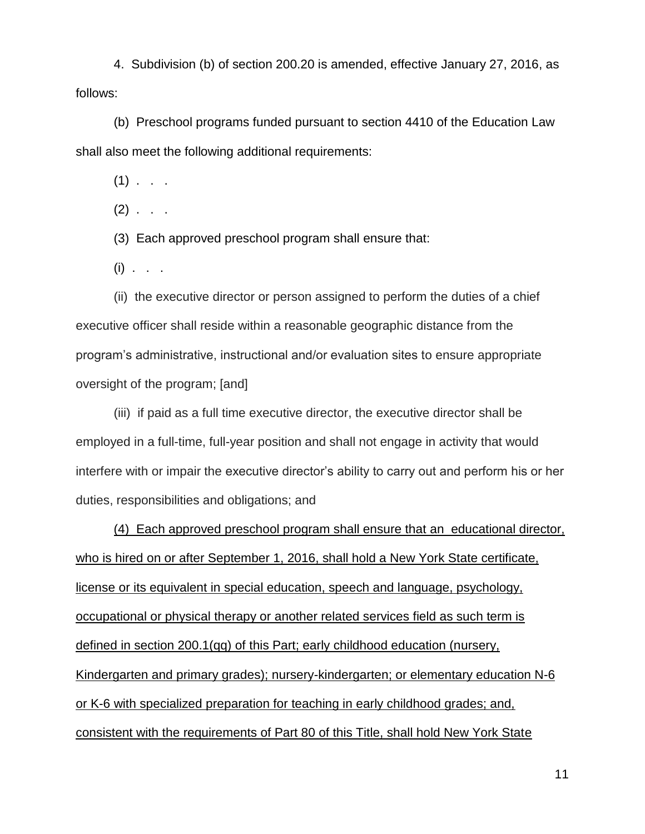4. Subdivision (b) of section 200.20 is amended, effective January 27, 2016, as follows:

(b) Preschool programs funded pursuant to section 4410 of the Education Law shall also meet the following additional requirements:

 $(1)$  . .

 $(2)$  . . .

(3) Each approved preschool program shall ensure that:

 $(i)$  . . .

(ii) the executive director or person assigned to perform the duties of a chief executive officer shall reside within a reasonable geographic distance from the program's administrative, instructional and/or evaluation sites to ensure appropriate oversight of the program; [and]

(iii) if paid as a full time executive director, the executive director shall be employed in a full-time, full-year position and shall not engage in activity that would interfere with or impair the executive director's ability to carry out and perform his or her duties, responsibilities and obligations; and

(4) Each approved preschool program shall ensure that an educational director, who is hired on or after September 1, 2016, shall hold a New York State certificate, license or its equivalent in special education, speech and language, psychology, occupational or physical therapy or another related services field as such term is defined in section 200.1(qq) of this Part; early childhood education (nursery, Kindergarten and primary grades); nursery-kindergarten; or elementary education N-6 or K-6 with specialized preparation for teaching in early childhood grades; and, consistent with the requirements of Part 80 of this Title, shall hold New York State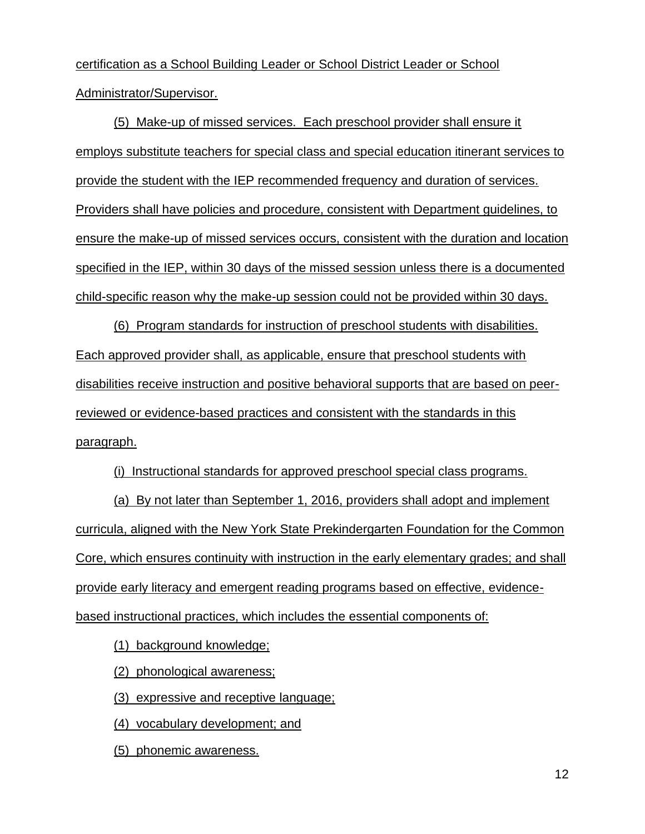certification as a School Building Leader or School District Leader or School Administrator/Supervisor.

(5) Make-up of missed services. Each preschool provider shall ensure it employs substitute teachers for special class and special education itinerant services to provide the student with the IEP recommended frequency and duration of services. Providers shall have policies and procedure, consistent with Department guidelines, to ensure the make-up of missed services occurs, consistent with the duration and location specified in the IEP, within 30 days of the missed session unless there is a documented child-specific reason why the make-up session could not be provided within 30 days.

(6) Program standards for instruction of preschool students with disabilities. Each approved provider shall, as applicable, ensure that preschool students with disabilities receive instruction and positive behavioral supports that are based on peerreviewed or evidence-based practices and consistent with the standards in this paragraph.

(i) Instructional standards for approved preschool special class programs.

(a) By not later than September 1, 2016, providers shall adopt and implement curricula, aligned with the New York State Prekindergarten Foundation for the Common Core, which ensures continuity with instruction in the early elementary grades; and shall provide early literacy and emergent reading programs based on effective, evidencebased instructional practices, which includes the essential components of:

(1) background knowledge;

(2) phonological awareness;

(3) expressive and receptive language;

(4) vocabulary development; and

(5) phonemic awareness.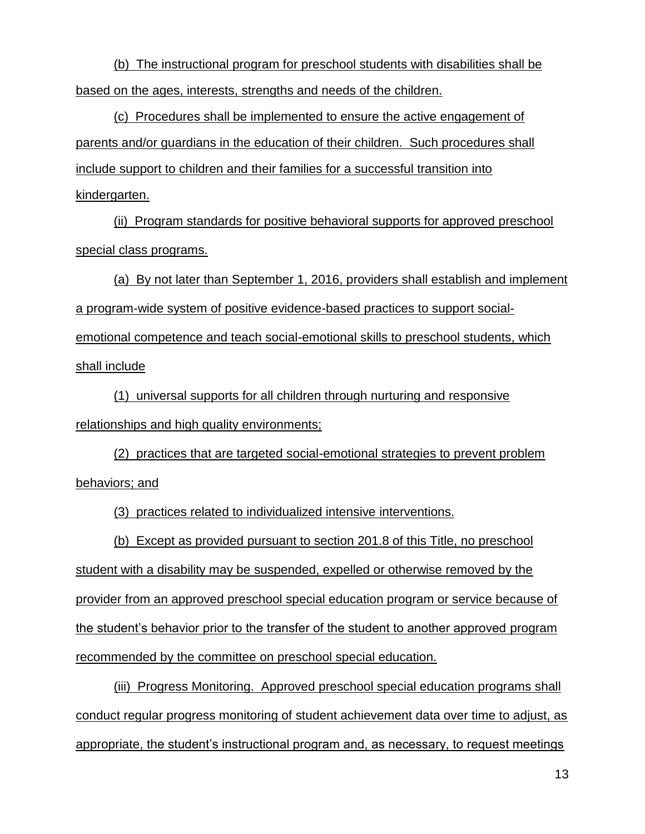(b) The instructional program for preschool students with disabilities shall be based on the ages, interests, strengths and needs of the children.

(c) Procedures shall be implemented to ensure the active engagement of parents and/or guardians in the education of their children. Such procedures shall include support to children and their families for a successful transition into kindergarten.

(ii) Program standards for positive behavioral supports for approved preschool special class programs.

(a) By not later than September 1, 2016, providers shall establish and implement a program-wide system of positive evidence-based practices to support socialemotional competence and teach social-emotional skills to preschool students, which shall include

(1) universal supports for all children through nurturing and responsive relationships and high quality environments;

(2) practices that are targeted social-emotional strategies to prevent problem behaviors; and

(3) practices related to individualized intensive interventions.

(b) Except as provided pursuant to section 201.8 of this Title, no preschool student with a disability may be suspended, expelled or otherwise removed by the provider from an approved preschool special education program or service because of the student's behavior prior to the transfer of the student to another approved program recommended by the committee on preschool special education.

(iii) Progress Monitoring. Approved preschool special education programs shall conduct regular progress monitoring of student achievement data over time to adjust, as appropriate, the student's instructional program and, as necessary, to request meetings